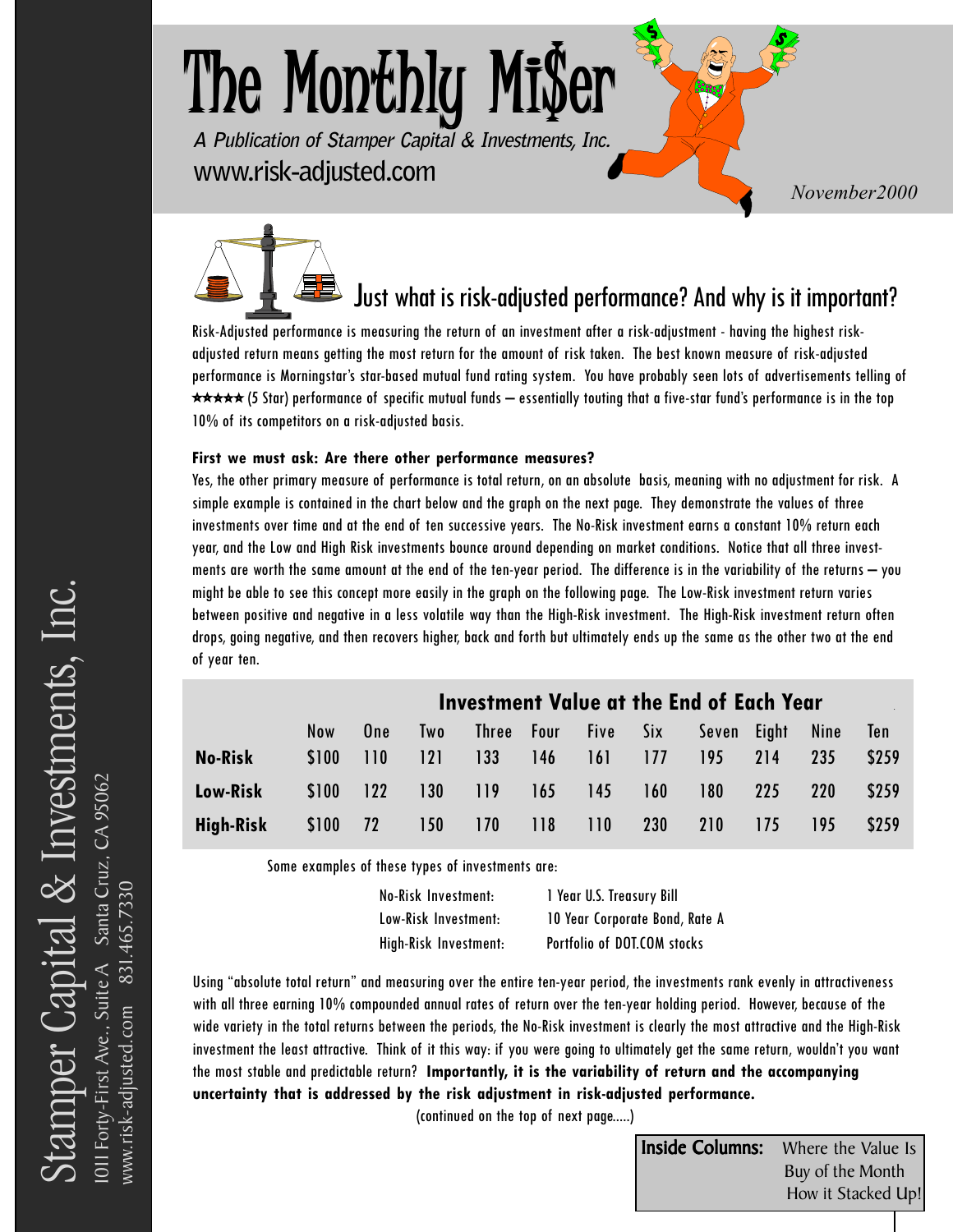# **The Monthly Mi\$er A Publication of Stamper Capital & Investments, Inc. www.risk-adjusted.com** *Maxwellen Movember2000*

Just what is risk-adjusted performance? And why is it important?

Risk-Adjusted performance is measuring the return of an investment after a risk-adjustment - having the highest riskadjusted return means getting the most return for the amount of risk taken. The best known measure of risk-adjusted performance is Morningstar's star-based mutual fund rating system. You have probably seen lots of advertisements telling of <del>★★★★</del> (5 Star) performance of specific mutual funds — essentially touting that a five-star fund's performance is in the top 10% of its competitors on a risk-adjusted basis.

#### **First we must ask: Are there other performance measures?**

Yes, the other primary measure of performance is total return, on an absolute basis, meaning with no adjustment for risk. A simple example is contained in the chart below and the graph on the next page. They demonstrate the values of three investments over time and at the end of ten successive years. The No-Risk investment earns a constant 10% return each year, and the Low and High Risk investments bounce around depending on market conditions. Notice that all three investments are worth the same amount at the end of the ten-year period. The difference is in the variability of the returns – you might be able to see this concept more easily in the graph on the following page. The Low-Risk investment return varies between positive and negative in a less volatile way than the High-Risk investment. The High-Risk investment return often drops, going negative, and then recovers higher, back and forth but ultimately ends up the same as the other two at the end of year ten.

|                |            | <b>Investment Value at the End of Each Year</b> |            |     |            |                     |     |             |     |            |       |
|----------------|------------|-------------------------------------------------|------------|-----|------------|---------------------|-----|-------------|-----|------------|-------|
|                | <b>Now</b> | One                                             | <b>Two</b> |     |            | Three Four Five Six |     | Seven Eight |     | Nine       | Ten   |
| <b>No-Risk</b> | \$100      | 110                                             | 121        | 133 | <b>146</b> | 161                 | 177 | 195         | 214 | -235       | \$259 |
| Low-Risk       | \$100      | $ 122\rangle$                                   | 130        | 119 | 165        | 145                 | 160 | 180         | 225 | <b>220</b> | \$259 |
| High-Risk      | \$100 72   |                                                 | 150        | 170 | 118        | 110                 | 230 | <b>210</b>  | 175 | 195        | \$259 |

Some examples of these types of investments are:

| No-Risk Investment:   | 1 Year U.S. Treasury Bill      |
|-----------------------|--------------------------------|
| Low-Risk Investment:  | 10 Year Corporate Bond, Rate A |
| High-Risk Investment: | Portfolio of DOT.COM stocks    |

Using "absolute total return" and measuring over the entire ten-year period, the investments rank evenly in attractiveness with all three earning 10% compounded annual rates of return over the ten-year holding period. However, because of the wide variety in the total returns between the periods, the No-Risk investment is clearly the most attractive and the High-Risk investment the least attractive. Think of it this way: if you were going to ultimately get the same return, wouldn't you want the most stable and predictable return? **Importantly, it is the variability of return and the accompanying uncertainty that is addressed by the risk adjustment in risk-adjusted performance.**

(continued on the top of next page.....)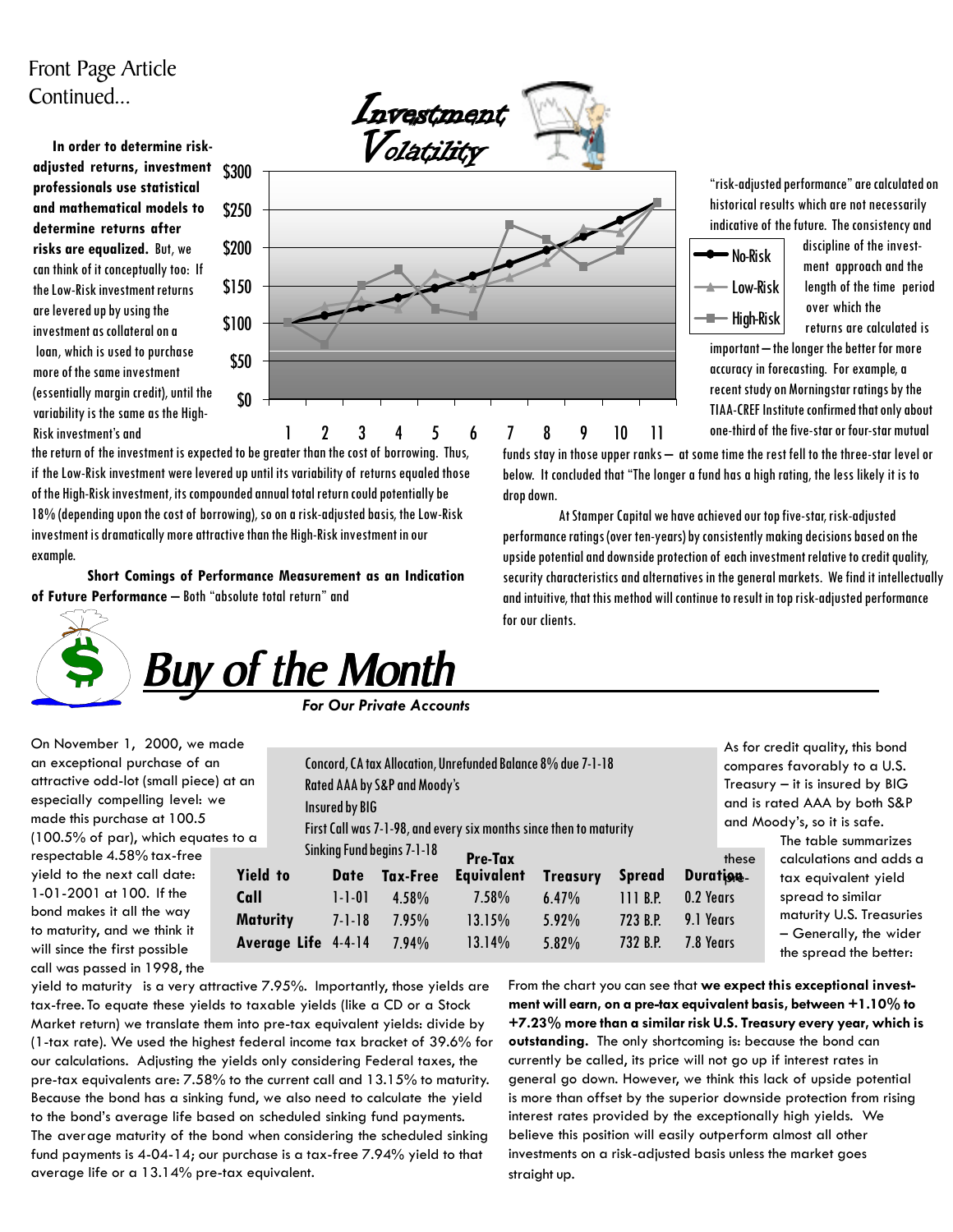#### Front Page Article Continued...

 **In order to determine riskadjusted returns, investment professionals use statistical and mathematical models to determine returns after risks are equalized.** But, we can think of it conceptually too: If the Low-Risk investment returns are levered up by using the investment as collateral on a loan, which is used to purchase more of the same investment (essentially margin credit), until the variability is the same as the High-Risk investment's and



the return of the investment is expected to be greater than the cost of borrowing. Thus, if the Low-Risk investment were levered up until its variability of returns equaled those of the High-Risk investment, its compounded annual total return could potentially be 18% (depending upon the cost of borrowing), so on a risk-adjusted basis, the Low-Risk investment is dramatically more attractive than the High-Risk investment in our example.

**Short Comings of Performance Measurement as an Indication of Future Performance** – Both "absolute total return" and



"risk-adjusted performance" are calculated on historical results which are not necessarily indicative of the future. The consistency and



 discipline of the invest ment approach and the length of the time period over which the returns are calculated is

important – the longer the better for more accuracy in forecasting. For example, a recent study on Morningstar ratings by the TIAA-CREF Institute confirmed that only about one-third of the five-star or four-star mutual

As for credit quality, this bond

funds stay in those upper ranks – at some time the rest fell to the three-star level or below. It concluded that "The longer a fund has a high rating, the less likely it is to drop down.

At Stamper Capital we have achieved our top five-star, risk-adjusted performance ratings (over ten-years) by consistently making decisions based on the upside potential and downside protection of each investment relative to credit quality, security characteristics and alternatives in the general markets. We find it intellectually and intuitive, that this method will continue to result in top risk-adjusted performance for our clients.

On November 1, 2000, we made an exceptional purchase of an attractive odd-lot (small piece) at an especially compelling level: we made this purchase at 100.5 (100.5% of par), which equates to a respectable 4.58% tax-free yield to the next call date: 1-01-2001 at 100. If the bond makes it all the way to maturity, and we think it will since the first possible call was passed in 1998, the

Concord, CA tax Allocation, Unrefunded Balance 8% due 7-1-18 Rated AAA by S&P and Moody's Insured by BIG First Call was 7-1-98, and every six months since then to maturity Sinking Fund begins 7-1-18 **Yield to Call Maturity Average Life** 4-4-14 **Date Tax-Free** 1-1-01 7-1-18 4.58% 7.95% 7.94%  **Pre-Tax Equivalent** 7.58% 13.15% 13.14% **Treasury** 6.47% 5.92% 5.82% **Spread** 111 B.P. 723 B.P. 732 B.P. **Duration** 0.2 Years 9.1 Years 7.8 Years compares favorably to a U.S. Treasury – it is insured by BIG and is rated AAA by both S&P and Moody's, so it is safe. The table summarizes these calculations and adds a tax equivalent yield spread to similar maturity U.S. Treasuries – Generally, the wider the spread the better:

yield to maturity is a very attractive 7.95%. Importantly, those yields are tax-free. To equate these yields to taxable yields (like a CD or a Stock Market return) we translate them into pre-tax equivalent yields: divide by (1-tax rate). We used the highest federal income tax bracket of 39.6% for our calculations. Adjusting the yields only considering Federal taxes, the pre-tax equivalents are: 7.58% to the current call and 13.15% to maturity. Because the bond has a sinking fund, we also need to calculate the yield to the bond's average life based on scheduled sinking fund payments. The average maturity of the bond when considering the scheduled sinking fund payments is 4-04-14; our purchase is a tax-free 7.94% yield to that average life or a 13.14% pre-tax equivalent.

From the chart you can see that **we expect this exceptional investment will earn, on a pre-tax equivalent basis, between +1.10% to +7.23% more than a similar risk U.S. Treasury every year, which is outstanding.** The only shortcoming is: because the bond can currently be called, its price will not go up if interest rates in general go down. However, we think this lack of upside potential is more than offset by the superior downside protection from rising interest rates provided by the exceptionally high yields. We believe this position will easily outperform almost all other investments on a risk-adjusted basis unless the market goes straight up.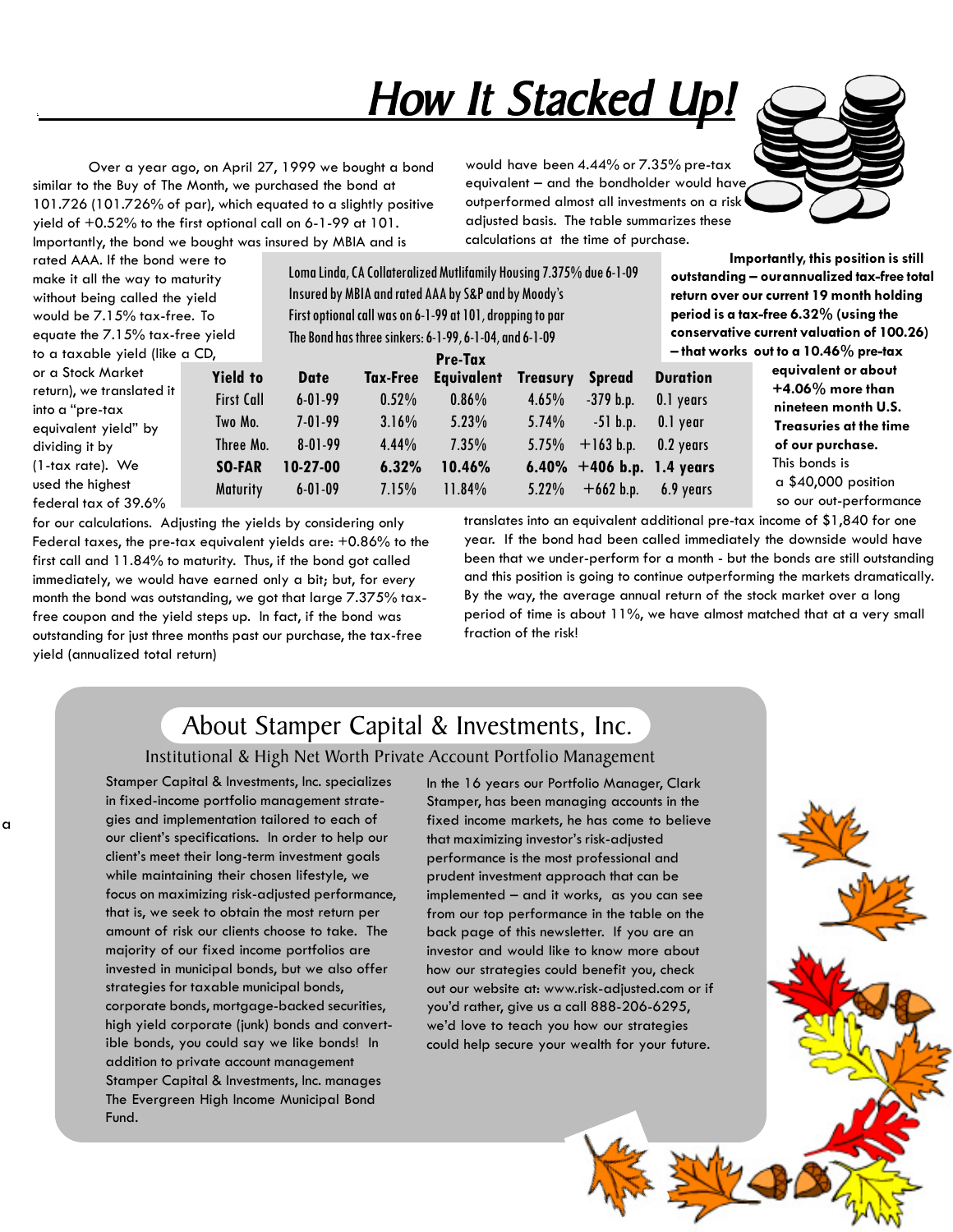## <u>. How It Stacked Up!</u>

Over a year ago, on April 27, 1999 we bought a bond similar to the Buy of The Month, we purchased the bond at 101.726 (101.726% of par), which equated to a slightly positive yield of +0.52% to the first optional call on 6-1-99 at 101. Importantly, the bond we bought was insured by MBIA and is

would have been 4.44% or 7.35% pre-tax equivalent – and the bondholder would have outperformed almost all investments on a risk adjusted basis. The table summarizes these calculations at the time of purchase.



rated AAA. If the bond were to make it all the way to maturity without being called the yield would be 7.15% tax-free. To equate the 7.15% tax-free yield to a taxable yield (like a CD,

a

Loma Linda, CA Collateralized Mutlifamily Housing 7.375% due 6-1-09 Insured by MBIA and rated AAA by S&P and by Moody's First optional call was on 6-1-99 at 101, dropping to par The Bond has three sinkers: 6-1-99, 6-1-04, and 6-1-09

 **Importantly, this position is still outstanding – ourannualized tax-free total return over our current 19 month holding period is a tax-free 6.32% (using the conservative current valuation of 100.26) – that works out to a 10.46% pre-tax**

> **nineteen month U.S. Treasuries at the time of our purchase.**

 a \$40,000 position so our out-performance

| to a taxable yield (like a CD,                                                                              |                                                              |                                                          |                                        | Pre-Tax                                            |                                                  |                                                           |                                                       | -that works out to a 10.46% pre-tax                                                                                   |
|-------------------------------------------------------------------------------------------------------------|--------------------------------------------------------------|----------------------------------------------------------|----------------------------------------|----------------------------------------------------|--------------------------------------------------|-----------------------------------------------------------|-------------------------------------------------------|-----------------------------------------------------------------------------------------------------------------------|
| or a Stock Market<br>return), we translated it<br>into a "pre-tax<br>equivalent yield" by<br>dividing it by | <b>Yield to</b><br><b>First Call</b><br>Two Mo.<br>Three Mo. | <b>Date</b><br>$6 - 01 - 99$<br>$7 - 01 - 99$<br>8-01-99 | Tax-Free<br>0.52%<br>$3.16\%$<br>4.44% | <b>Equivalent</b><br>$0.86\%$<br>$5.23\%$<br>7.35% | <b>Treasury</b><br>4.65%<br>$5.74\%$<br>$5.75\%$ | <b>Spread</b><br>$-379$ b.p.<br>$-51$ b.p.<br>$+163$ b.p. | <b>Duration</b><br>0.1 years<br>0.1 year<br>0.2 years | equivalent or about<br>$+4.06\%$ more than<br>nineteen month U.S.<br><b>Treasuries at the tim</b><br>of our purchase. |
| $(1$ -tax rate). We<br>used the highest<br>federal tax of 39.6%                                             | <b>SO-FAR</b><br><b>Maturity</b>                             | $10-27-00$<br>60109                                      | 6.32%<br>7.15%                         | 10.46%<br>11.84%                                   | $5.22\%$                                         | 6.40% $+406$ b.p. 1.4 years<br>$+662$ b.p.                | 6.9 years                                             | This bonds is<br>$a $40,000$ position<br>so our out-performo                                                          |

for our calculations. Adjusting the yields by considering only Federal taxes, the pre-tax equivalent yields are: +0.86% to the first call and 11.84% to maturity. Thus, if the bond got called immediately, we would have earned only a bit; but, for *every* month the bond was outstanding, we got that large 7.375% taxfree coupon and the yield steps up. In fact, if the bond was outstanding for just three months past our purchase, the tax-free yield (annualized total return)

translates into an equivalent additional pre-tax income of \$1,840 for one year. If the bond had been called immediately the downside would have been that we under-perform for a month - but the bonds are still outstanding and this position is going to continue outperforming the markets dramatically. By the way, the average annual return of the stock market over a long period of time is about 11%, we have almost matched that at a very small fraction of the risk!

### About Stamper Capital & Investments, Inc.

#### Institutional & High Net Worth Private Account Portfolio Management

Stamper Capital & Investments, Inc. specializes in fixed-income portfolio management strategies and implementation tailored to each of our client's specifications. In order to help our client's meet their long-term investment goals while maintaining their chosen lifestyle, we focus on maximizing risk-adjusted performance, that is, we seek to obtain the most return per amount of risk our clients choose to take. The majority of our fixed income portfolios are invested in municipal bonds, but we also offer strategies for taxable municipal bonds, corporate bonds, mortgage-backed securities, high yield corporate (junk) bonds and convertible bonds, you could say we like bonds! In addition to private account management Stamper Capital & Investments, Inc. manages The Evergreen High Income Municipal Bond Fund.

In the 16 years our Portfolio Manager, Clark Stamper, has been managing accounts in the fixed income markets, he has come to believe that maximizing investor's risk-adjusted performance is the most professional and prudent investment approach that can be implemented – and it works, as you can see from our top performance in the table on the back page of this newsletter. If you are an investor and would like to know more about how our strategies could benefit you, check out our website at: www.risk-adjusted.com or if you'd rather, give us a call 888-206-6295, we'd love to teach you how our strategies could help secure your wealth for your future.